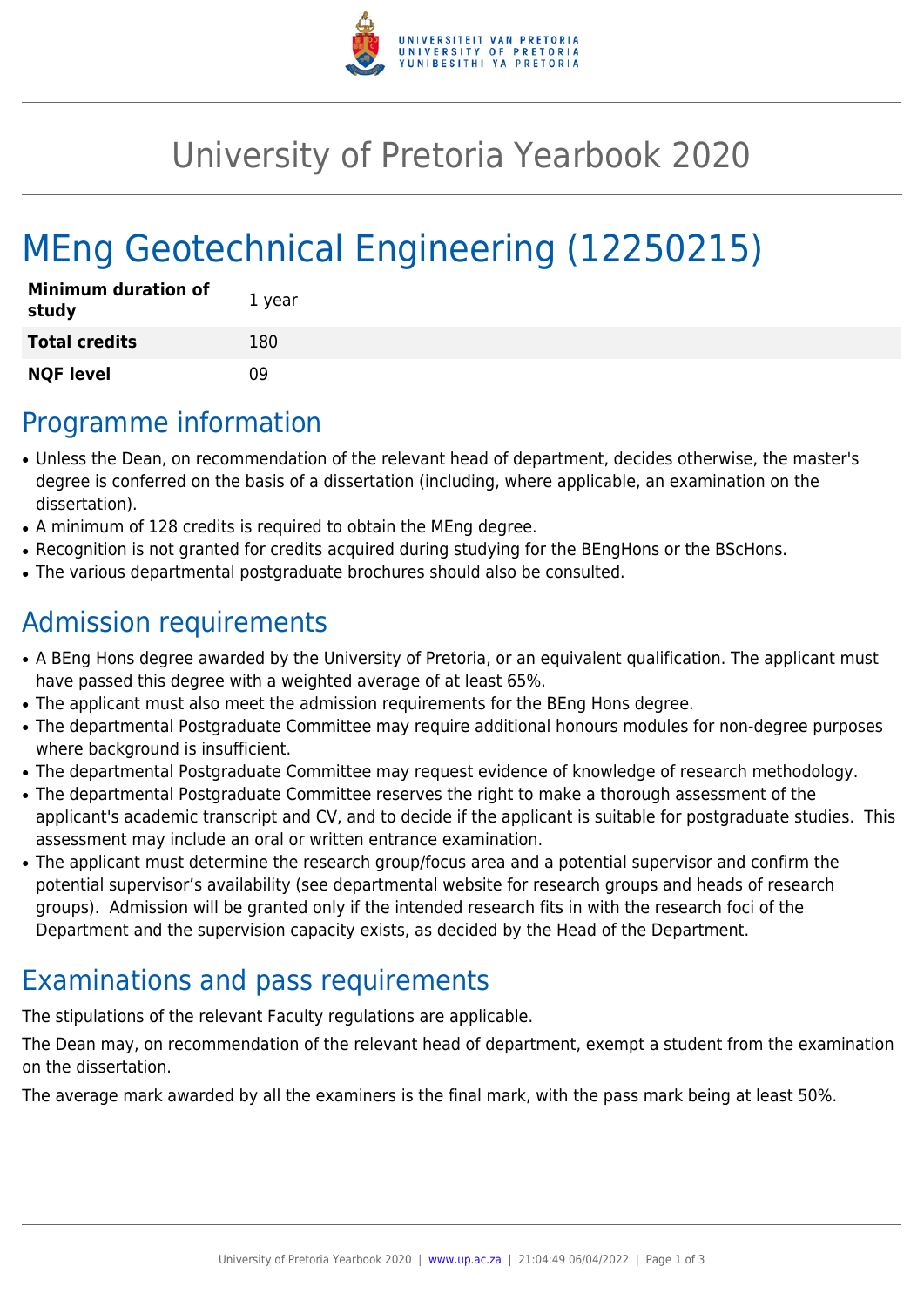

## University of Pretoria Yearbook 2020

# MEng Geotechnical Engineering (12250215)

| <b>Minimum duration of</b><br>study | 1 year |
|-------------------------------------|--------|
| <b>Total credits</b>                | 180    |
| <b>NQF level</b>                    | n۹     |

#### Programme information

- Unless the Dean, on recommendation of the relevant head of department, decides otherwise, the master's degree is conferred on the basis of a dissertation (including, where applicable, an examination on the dissertation).
- A minimum of 128 credits is required to obtain the MEng degree.
- Recognition is not granted for credits acquired during studying for the BEngHons or the BScHons.
- The various departmental postgraduate brochures should also be consulted.

#### Admission requirements

- A BEng Hons degree awarded by the University of Pretoria, or an equivalent qualification. The applicant must have passed this degree with a weighted average of at least 65%.
- The applicant must also meet the admission requirements for the BEng Hons degree.
- The departmental Postgraduate Committee may require additional honours modules for non-degree purposes where background is insufficient.
- The departmental Postgraduate Committee may request evidence of knowledge of research methodology.
- The departmental Postgraduate Committee reserves the right to make a thorough assessment of the applicant's academic transcript and CV, and to decide if the applicant is suitable for postgraduate studies. This assessment may include an oral or written entrance examination.
- The applicant must determine the research group/focus area and a potential supervisor and confirm the potential supervisor's availability (see departmental website for research groups and heads of research groups). Admission will be granted only if the intended research fits in with the research foci of the Department and the supervision capacity exists, as decided by the Head of the Department.

### Examinations and pass requirements

The stipulations of the relevant Faculty regulations are applicable.

The Dean may, on recommendation of the relevant head of department, exempt a student from the examination on the dissertation.

The average mark awarded by all the examiners is the final mark, with the pass mark being at least 50%.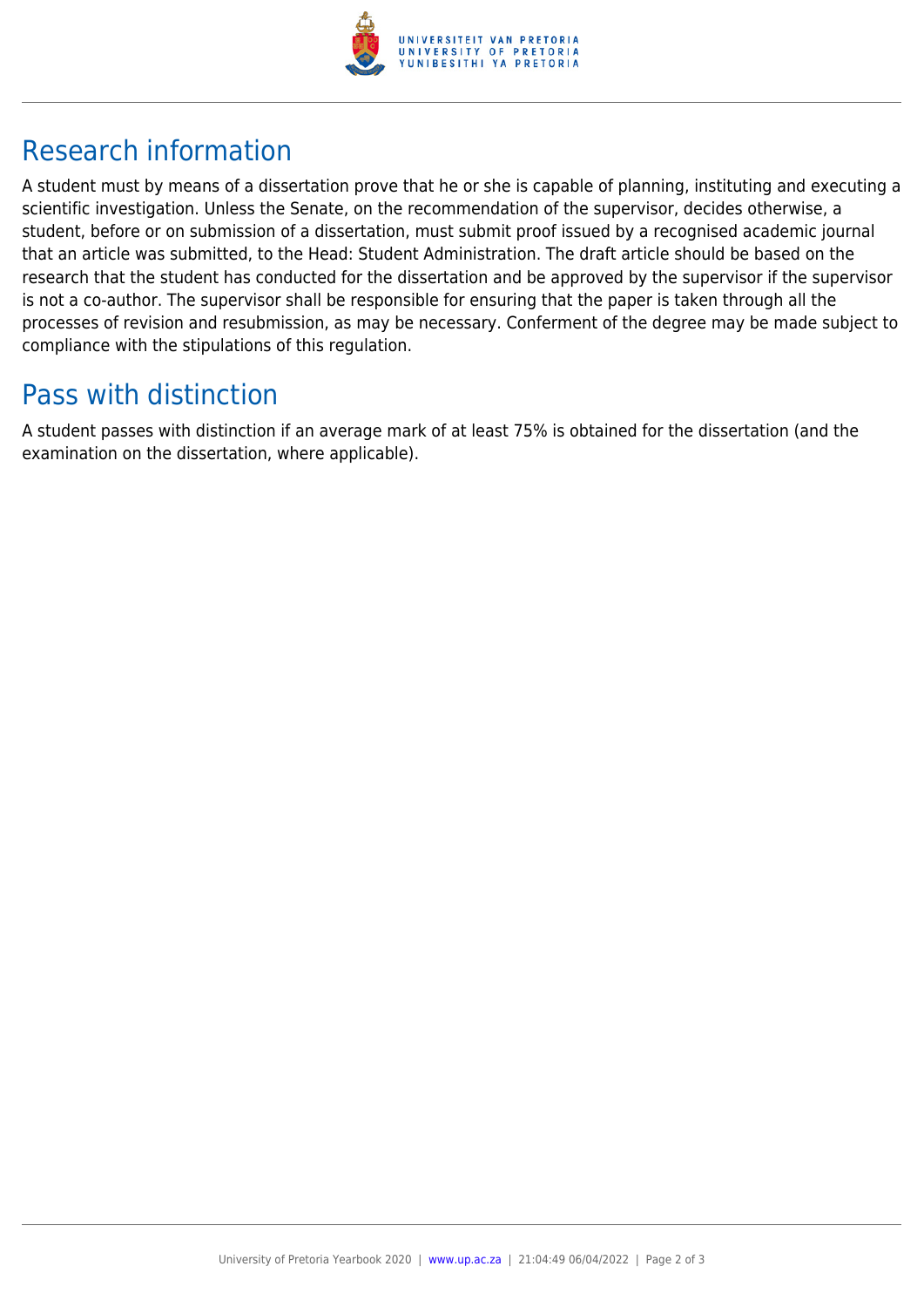

### Research information

A student must by means of a dissertation prove that he or she is capable of planning, instituting and executing a scientific investigation. Unless the Senate, on the recommendation of the supervisor, decides otherwise, a student, before or on submission of a dissertation, must submit proof issued by a recognised academic journal that an article was submitted, to the Head: Student Administration. The draft article should be based on the research that the student has conducted for the dissertation and be approved by the supervisor if the supervisor is not a co-author. The supervisor shall be responsible for ensuring that the paper is taken through all the processes of revision and resubmission, as may be necessary. Conferment of the degree may be made subject to compliance with the stipulations of this regulation.

#### Pass with distinction

A student passes with distinction if an average mark of at least 75% is obtained for the dissertation (and the examination on the dissertation, where applicable).